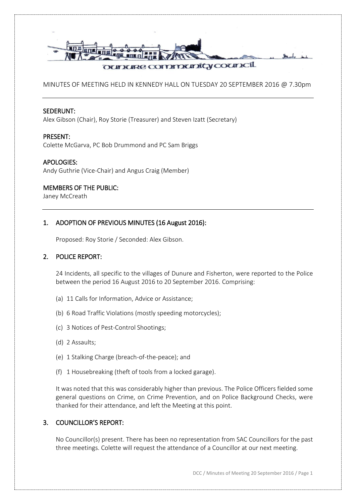

MINUTES OF MEETING HELD IN KENNEDY HALL ON TUESDAY 20 SEPTEMBER 2016 @ 7.30pm

#### SEDERUNT:

Alex Gibson (Chair), Roy Storie (Treasurer) and Steven Izatt (Secretary)

## PRESENT:

Colette McGarva, PC Bob Drummond and PC Sam Briggs

## APOLOGIES:

Andy Guthrie (Vice-Chair) and Angus Craig (Member)

## MEMBERS OF THE PUBLIC:

Janey McCreath

## 1. ADOPTION OF PREVIOUS MINUTES (16 August 2016):

Proposed: Roy Storie / Seconded: Alex Gibson.

## 2. POLICE REPORT:

24 Incidents, all specific to the villages of Dunure and Fisherton, were reported to the Police between the period 16 August 2016 to 20 September 2016. Comprising:

- (a) 11 Calls for Information, Advice or Assistance;
- (b) 6 Road Traffic Violations (mostly speeding motorcycles);
- (c) 3 Notices of Pest-Control Shootings;
- (d) 2 Assaults;
- (e) 1 Stalking Charge (breach-of-the-peace); and
- (f) 1 Housebreaking (theft of tools from a locked garage).

It was noted that this was considerably higher than previous. The Police Officers fielded some general questions on Crime, on Crime Prevention, and on Police Background Checks, were thanked for their attendance, and left the Meeting at this point.

## 3. COUNCILLOR'S REPORT:

No Councillor(s) present. There has been no representation from SAC Councillors for the past three meetings. Colette will request the attendance of a Councillor at our next meeting.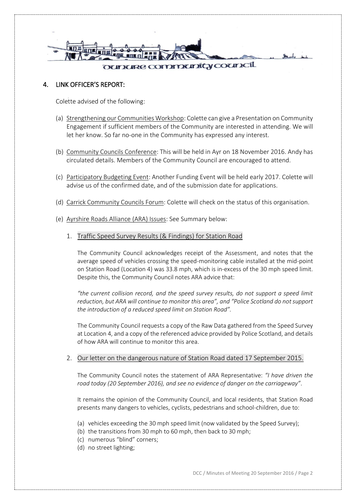

### 4. LINK OFFICER'S REPORT:

Colette advised of the following:

- (a) Strengthening our Communities Workshop: Colette can give a Presentation on Community Engagement if sufficient members of the Community are interested in attending. We will let her know. So far no-one in the Community has expressed any interest.
- (b) Community Councils Conference: This will be held in Ayr on 18 November 2016. Andy has circulated details. Members of the Community Council are encouraged to attend.
- (c) Participatory Budgeting Event: Another Funding Event will be held early 2017. Colette will advise us of the confirmed date, and of the submission date for applications.
- (d) Carrick Community Councils Forum: Colette will check on the status of this organisation.
- (e) Ayrshire Roads Alliance (ARA) Issues: See Summary below:
	- 1. Traffic Speed Survey Results (& Findings) for Station Road

The Community Council acknowledges receipt of the Assessment, and notes that the average speed of vehicles crossing the speed-monitoring cable installed at the mid-point on Station Road (Location 4) was 33.8 mph, which is in-excess of the 30 mph speed limit. Despite this, the Community Council notes ARA advice that:

*"the current collision record, and the speed survey results, do not support a speed limit reduction, but ARA will continue to monitor this area", and "Police Scotland do not support the introduction of a reduced speed limit on Station Road".*

The Community Council requests a copy of the Raw Data gathered from the Speed Survey at Location 4, and a copy of the referenced advice provided by Police Scotland, and details of how ARA will continue to monitor this area.

#### 2. Our letter on the dangerous nature of Station Road dated 17 September 2015.

The Community Council notes the statement of ARA Representative: *"I have driven the road today (20 September 2016), and see no evidence of danger on the carriageway"*.

It remains the opinion of the Community Council, and local residents, that Station Road presents many dangers to vehicles, cyclists, pedestrians and school-children, due to:

- (a) vehicles exceeding the 30 mph speed limit (now validated by the Speed Survey);
- (b) the transitions from 30 mph to 60 mph, then back to 30 mph;
- (c) numerous "blind" corners;
- (d) no street lighting;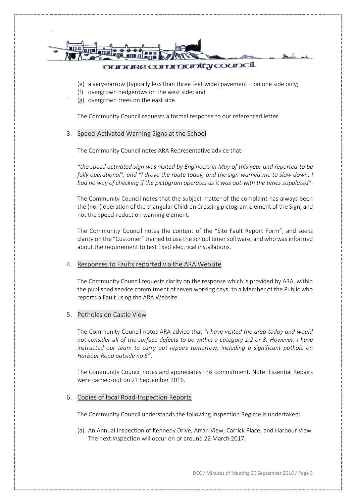

- (e) a very-narrow (typically less than three feet wide) pavement on one side only;
- (f) overgrown hedgerows on the west side; and
- (g) overgrown trees on the east side.

The Community Council requests a formal response to our referenced letter.

#### 3. Speed-Activated Warning Signs at the School

The Community Council notes ARA Representative advice that:

*"the speed activated sign was visited by Engineers in May of this year and reported to be fully operational", and "I drove the route today, and the sign warned me to slow down. I had no way of checking if the pictogram operates as it was out-with the times stipulated"*.

The Community Council notes that the subject matter of the complaint has always been the (non) operation of the triangular Children Crossing pictogram element of the Sign, and not the speed-reduction warning element.

The Community Council notes the content of the "Site Fault Report Form", and seeks clarity on the "Customer" trained to use the school timer software, and who was informed about the requirement to test fixed electrical installations.

### 4. Responses to Faults reported via the ARA Website

The Community Council requests clarity on the response which is provided by ARA, within the published service commitment of seven working days, to a Member of the Public who reports a Fault using the ARA Website.

#### 5. Potholes on Castle View

The Community Council notes ARA advice that *"I have visited the area today and would not consider all of the surface defects to be within a category 1,2 or 3. However, I have instructed our team to carry out repairs tomorrow, including a significant pothole on Harbour Road outside no 5"*.

The Community Council notes and appreciates this commitment. Note: Essential Repairs were carried-out on 21 September 2016.

#### 6. Copies of local Road-Inspection Reports

The Community Council understands the following Inspection Regime is undertaken:

(a) An Annual Inspection of Kennedy Drive, Arran View, Carrick Place, and Harbour View. The next Inspection will occur on or around 22 March 2017;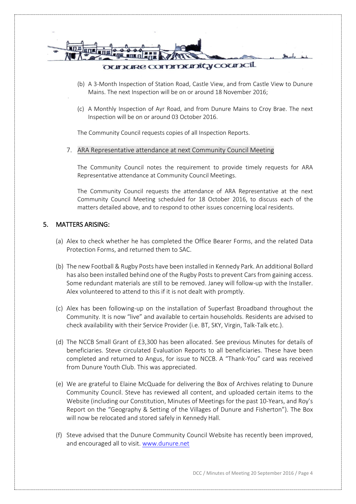

- (b) A 3-Month Inspection of Station Road, Castle View, and from Castle View to Dunure Mains. The next Inspection will be on or around 18 November 2016;
- (c) A Monthly Inspection of Ayr Road, and from Dunure Mains to Croy Brae. The next Inspection will be on or around 03 October 2016.

The Community Council requests copies of all Inspection Reports.

#### 7. ARA Representative attendance at next Community Council Meeting

The Community Council notes the requirement to provide timely requests for ARA Representative attendance at Community Council Meetings.

The Community Council requests the attendance of ARA Representative at the next Community Council Meeting scheduled for 18 October 2016, to discuss each of the matters detailed above, and to respond to other issues concerning local residents.

## 5. MATTERS ARISING:

- (a) Alex to check whether he has completed the Office Bearer Forms, and the related Data Protection Forms, and returned them to SAC.
- (b) The new Football & Rugby Posts have been installed in Kennedy Park. An additional Bollard has also been installed behind one of the Rugby Posts to prevent Cars from gaining access. Some redundant materials are still to be removed. Janey will follow-up with the Installer. Alex volunteered to attend to this if it is not dealt with promptly.
- (c) Alex has been following-up on the installation of Superfast Broadband throughout the Community. It is now "live" and available to certain households. Residents are advised to check availability with their Service Provider (i.e. BT, SKY, Virgin, Talk-Talk etc.).
- (d) The NCCB Small Grant of £3,300 has been allocated. See previous Minutes for details of beneficiaries. Steve circulated Evaluation Reports to all beneficiaries. These have been completed and returned to Angus, for issue to NCCB. A "Thank-You" card was received from Dunure Youth Club. This was appreciated.
- (e) We are grateful to Elaine McQuade for delivering the Box of Archives relating to Dunure Community Council. Steve has reviewed all content, and uploaded certain items to the Website (including our Constitution, Minutes of Meetings for the past 10-Years, and Roy's Report on the "Geography & Setting of the Villages of Dunure and Fisherton"). The Box will now be relocated and stored safely in Kennedy Hall.
- (f) Steve advised that the Dunure Community Council Website has recently been improved, and encouraged all to visit. [www.dunure.net](http://www.dunure.net/)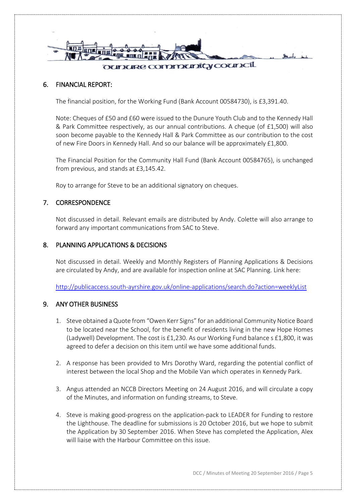

## 6. FINANCIAL REPORT:

The financial position, for the Working Fund (Bank Account 00584730), is £3,391.40.

Note: Cheques of £50 and £60 were issued to the Dunure Youth Club and to the Kennedy Hall & Park Committee respectively, as our annual contributions. A cheque (of £1,500) will also soon become payable to the Kennedy Hall & Park Committee as our contribution to the cost of new Fire Doors in Kennedy Hall. And so our balance will be approximately £1,800.

The Financial Position for the Community Hall Fund (Bank Account 00584765), is unchanged from previous, and stands at £3,145.42.

Roy to arrange for Steve to be an additional signatory on cheques.

## 7. CORRESPONDENCE

Not discussed in detail. Relevant emails are distributed by Andy. Colette will also arrange to forward any important communications from SAC to Steve.

#### 8. PLANNING APPLICATIONS & DECISIONS

Not discussed in detail. Weekly and Monthly Registers of Planning Applications & Decisions are circulated by Andy, and are available for inspection online at SAC Planning. Link here:

<http://publicaccess.south-ayrshire.gov.uk/online-applications/search.do?action=weeklyList>

#### 9. ANY OTHER BUSINESS

- 1. Steve obtained a Quote from "Owen Kerr Signs" for an additional Community Notice Board to be located near the School, for the benefit of residents living in the new Hope Homes (Ladywell) Development. The cost is £1,230. As our Working Fund balance s £1,800, it was agreed to defer a decision on this item until we have some additional funds.
- 2. A response has been provided to Mrs Dorothy Ward, regarding the potential conflict of interest between the local Shop and the Mobile Van which operates in Kennedy Park.
- 3. Angus attended an NCCB Directors Meeting on 24 August 2016, and will circulate a copy of the Minutes, and information on funding streams, to Steve.
- 4. Steve is making good-progress on the application-pack to LEADER for Funding to restore the Lighthouse. The deadline for submissions is 20 October 2016, but we hope to submit the Application by 30 September 2016. When Steve has completed the Application, Alex will liaise with the Harbour Committee on this issue.